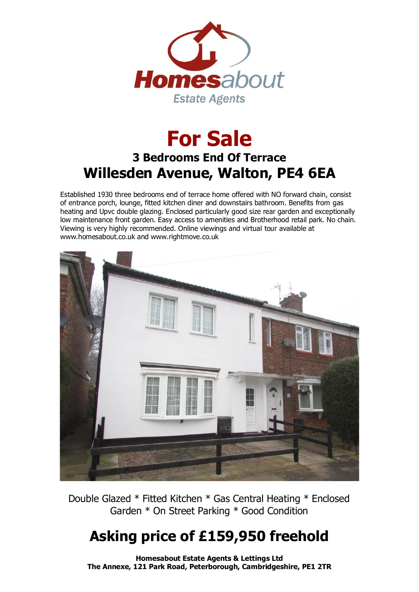

## **For Sale 3 Bedrooms End Of Terrace Willesden Avenue, Walton, PE4 6EA**

Established 1930 three bedrooms end of terrace home offered with NO forward chain, consist of entrance porch, lounge, fitted kitchen diner and downstairs bathroom. Benefits from gas heating and Upvc double glazing. Enclosed particularly good size rear garden and exceptionally low maintenance front garden. Easy access to amenities and Brotherhood retail park. No chain. Viewing is very highly recommended. Online viewings and virtual tour available at www.homesabout.co.uk and www.rightmove.co.uk



Double Glazed \* Fitted Kitchen \* Gas Central Heating \* Enclosed Garden \* On Street Parking \* Good Condition

## **Asking price of £159,950 freehold**

**Homesabout Estate Agents & Lettings Ltd The Annexe, 121 Park Road, Peterborough, Cambridgeshire, PE1 2TR**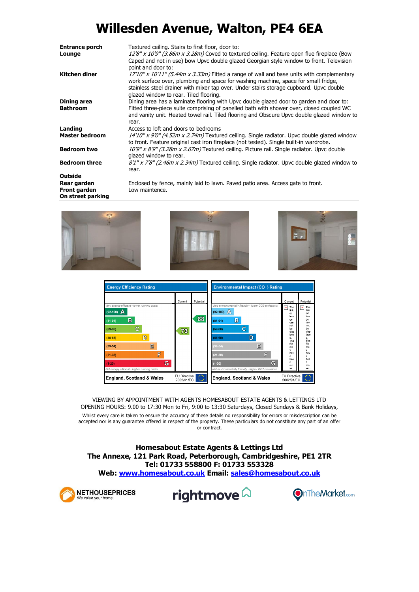## **Willesden Avenue, Walton, PE4 6EA**

| <b>Entrance porch</b><br>Lounge                         | Textured ceiling. Stairs to first floor, door to:<br>12'8" x 10'9" (3.86m x 3.28m) Coved to textured ceiling. Feature open flue fireplace (Bow<br>Caped and not in use) bow Upvc double glazed Georgian style window to front. Television<br>point and door to:                                                           |
|---------------------------------------------------------|---------------------------------------------------------------------------------------------------------------------------------------------------------------------------------------------------------------------------------------------------------------------------------------------------------------------------|
| Kitchen diner                                           | $17'10''$ x $10'11''$ (5.44m x 3.33m) Fitted a range of wall and base units with complementary<br>work surface over, plumbing and space for washing machine, space for small fridge,<br>stainless steel drainer with mixer tap over. Under stairs storage cupboard. Upvc double<br>glazed window to rear. Tiled flooring. |
| Dining area                                             | Dining area has a laminate flooring with Upvc double glazed door to garden and door to:                                                                                                                                                                                                                                   |
| <b>Bathroom</b>                                         | Fitted three-piece suite comprising of panelled bath with shower over, closed coupled WC<br>and vanity unit. Heated towel rail. Tiled flooring and Obscure Upvc double glazed window to<br>rear.                                                                                                                          |
| Landing                                                 | Access to loft and doors to bedrooms                                                                                                                                                                                                                                                                                      |
| <b>Master bedroom</b>                                   | $14'10''$ x 9'0" (4.52m x 2.74m) Textured ceiling. Single radiator. Upvc double glazed window<br>to front. Feature original cast iron fireplace (not tested). Single built-in wardrobe.                                                                                                                                   |
| <b>Bedroom two</b>                                      | 10'9" x 8'9" (3.28m x 2.67m) Textured ceiling. Picture rail. Single radiator. Upvc double<br>glazed window to rear.                                                                                                                                                                                                       |
| <b>Bedroom three</b>                                    | $8'1''$ x 7'8" (2.46m x 2.34m) Textured ceiling. Single radiator. Upvc double glazed window to<br>rear.                                                                                                                                                                                                                   |
| Outside                                                 |                                                                                                                                                                                                                                                                                                                           |
| Rear garden<br><b>Front garden</b><br>On street parking | Enclosed by fence, mainly laid to lawn. Paved patio area. Access gate to front.<br>Low maintence.                                                                                                                                                                                                                         |





VIEWING BY APPOINTMENT WITH AGENTS HOMESABOUT ESTATE AGENTS & LETTINGS LTD OPENING HOURS: 9.00 to 17:30 Mon to Fri, 9:00 to 13:30 Saturdays, Closed Sundays & Bank Holidays, Whilst every care is taken to ensure the accuracy of these details no responsibility for errors or misdescription can be accepted nor is any guarantee offered in respect of the property. These particulars do not constitute any part of an offer or contract.

**Homesabout Estate Agents & Lettings Ltd The Annexe, 121 Park Road, Peterborough, Cambridgeshire, PE1 2TR Tel: 01733 558800 F: 01733 553328 Web: www.homesabout.co.uk Email: sales@homesabout.co.uk**